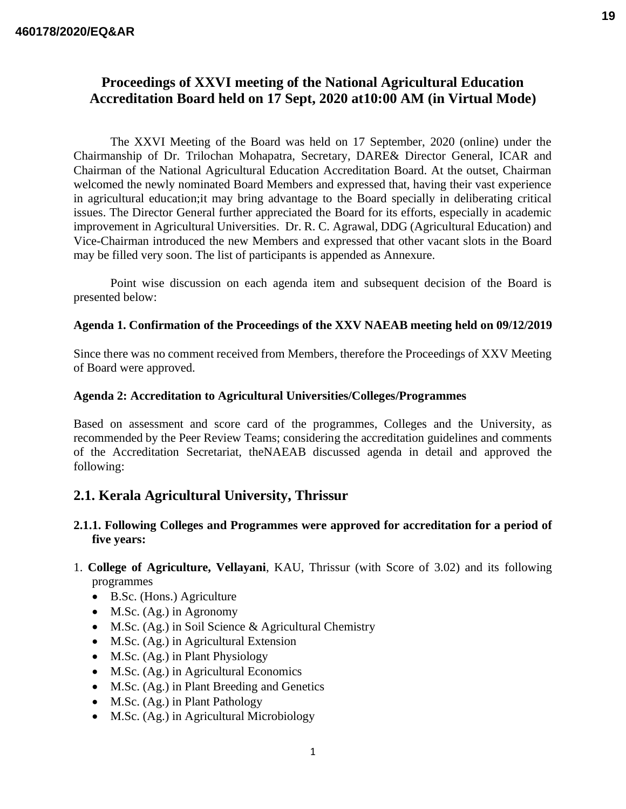# **Proceedings of XXVI meeting of the National Agricultural Education Accreditation Board held on 17 Sept, 2020 at10:00 AM (in Virtual Mode)**

The XXVI Meeting of the Board was held on 17 September, 2020 (online) under the Chairmanship of Dr. Trilochan Mohapatra, Secretary, DARE& Director General, ICAR and Chairman of the National Agricultural Education Accreditation Board. At the outset, Chairman welcomed the newly nominated Board Members and expressed that, having their vast experience in agricultural education;it may bring advantage to the Board specially in deliberating critical issues. The Director General further appreciated the Board for its efforts, especially in academic improvement in Agricultural Universities. Dr. R. C. Agrawal, DDG (Agricultural Education) and Vice-Chairman introduced the new Members and expressed that other vacant slots in the Board may be filled very soon. The list of participants is appended as Annexure.

Point wise discussion on each agenda item and subsequent decision of the Board is presented below:

#### **Agenda 1. Confirmation of the Proceedings of the XXV NAEAB meeting held on 09/12/2019**

Since there was no comment received from Members, therefore the Proceedings of XXV Meeting of Board were approved.

#### **Agenda 2: Accreditation to Agricultural Universities/Colleges/Programmes**

Based on assessment and score card of the programmes, Colleges and the University, as recommended by the Peer Review Teams; considering the accreditation guidelines and comments of the Accreditation Secretariat, theNAEAB discussed agenda in detail and approved the following:

## **2.1. Kerala Agricultural University, Thrissur**

### **2.1.1. Following Colleges and Programmes were approved for accreditation for a period of five years:**

- 1. **College of Agriculture, Vellayani**, KAU, Thrissur (with Score of 3.02) and its following programmes
	- B.Sc. (Hons.) Agriculture
	- M.Sc. (Ag.) in Agronomy
	- M.Sc. (Ag.) in Soil Science & Agricultural Chemistry
	- M.Sc. (Ag.) in Agricultural Extension
	- M.Sc. (Ag.) in Plant Physiology
	- M.Sc. (Ag.) in Agricultural Economics
	- M.Sc. (Ag.) in Plant Breeding and Genetics
	- M.Sc. (Ag.) in Plant Pathology
	- M.Sc. (Ag.) in Agricultural Microbiology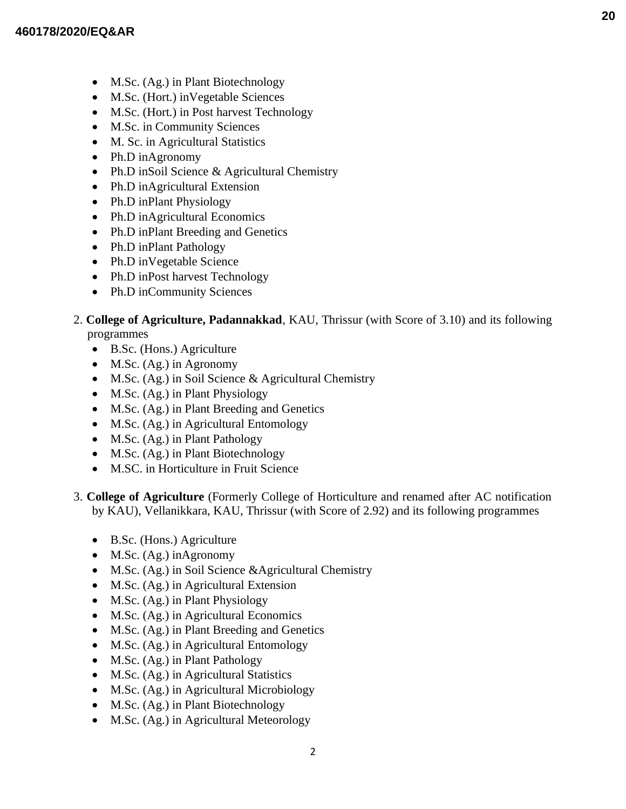- M.Sc. (Ag.) in Plant Biotechnology
- M.Sc. (Hort.) inVegetable Sciences
- M.Sc. (Hort.) in Post harvest Technology
- M.Sc. in Community Sciences
- M. Sc. in Agricultural Statistics
- Ph.D inAgronomy
- Ph.D inSoil Science & Agricultural Chemistry
- Ph.D inAgricultural Extension
- Ph.D inPlant Physiology
- Ph.D inAgricultural Economics
- Ph.D inPlant Breeding and Genetics
- Ph.D inPlant Pathology
- Ph.D inVegetable Science
- Ph.D inPost harvest Technology
- Ph.D inCommunity Sciences
- 2. **College of Agriculture, Padannakkad**, KAU, Thrissur (with Score of 3.10) and its following programmes
	- B.Sc. (Hons.) Agriculture
	- M.Sc. (Ag.) in Agronomy
	- M.Sc. (Ag.) in Soil Science & Agricultural Chemistry
	- M.Sc. (Ag.) in Plant Physiology
	- M.Sc. (Ag.) in Plant Breeding and Genetics
	- M.Sc. (Ag.) in Agricultural Entomology
	- M.Sc. (Ag.) in Plant Pathology
	- M.Sc. (Ag.) in Plant Biotechnology
	- M.SC. in Horticulture in Fruit Science
- 3. **College of Agriculture** (Formerly College of Horticulture and renamed after AC notification by KAU), Vellanikkara, KAU, Thrissur (with Score of 2.92) and its following programmes
	- B.Sc. (Hons.) Agriculture
	- M.Sc. (Ag.) inAgronomy
	- M.Sc. (Ag.) in Soil Science &Agricultural Chemistry
	- M.Sc. (Ag.) in Agricultural Extension
	- M.Sc. (Ag.) in Plant Physiology
	- M.Sc. (Ag.) in Agricultural Economics
	- M.Sc. (Ag.) in Plant Breeding and Genetics
	- M.Sc. (Ag.) in Agricultural Entomology
	- M.Sc. (Ag.) in Plant Pathology
	- M.Sc. (Ag.) in Agricultural Statistics
	- M.Sc. (Ag.) in Agricultural Microbiology
	- M.Sc. (Ag.) in Plant Biotechnology
	- M.Sc. (Ag.) in Agricultural Meteorology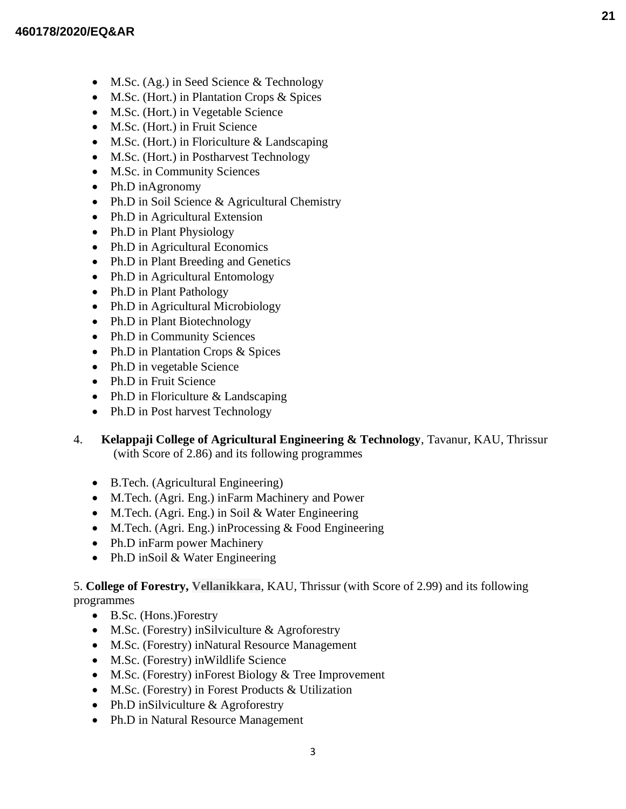- M.Sc. (Ag.) in Seed Science & Technology
- M.Sc. (Hort.) in Plantation Crops & Spices
- M.Sc. (Hort.) in Vegetable Science
- M.Sc. (Hort.) in Fruit Science
- M.Sc. (Hort.) in Floriculture & Landscaping
- M.Sc. (Hort.) in Postharvest Technology
- M.Sc. in Community Sciences
- Ph.D inAgronomy
- Ph.D in Soil Science & Agricultural Chemistry
- Ph.D in Agricultural Extension
- Ph.D in Plant Physiology
- Ph.D in Agricultural Economics
- Ph.D in Plant Breeding and Genetics
- Ph.D in Agricultural Entomology
- Ph.D in Plant Pathology
- Ph.D in Agricultural Microbiology
- Ph.D in Plant Biotechnology
- Ph.D in Community Sciences
- Ph.D in Plantation Crops & Spices
- Ph.D in vegetable Science
- Ph.D in Fruit Science
- Ph.D in Floriculture & Landscaping
- Ph.D in Post harvest Technology
- 4. **Kelappaji College of Agricultural Engineering & Technology**, Tavanur, KAU, Thrissur (with Score of 2.86) and its following programmes
	- B.Tech. (Agricultural Engineering)
	- M.Tech. (Agri. Eng.) inFarm Machinery and Power
	- M.Tech. (Agri. Eng.) in Soil & Water Engineering
	- M.Tech. (Agri. Eng.) inProcessing & Food Engineering
	- Ph.D inFarm power Machinery
	- Ph.D inSoil & Water Engineering

## 5. **College of Forestry, Vellanikkara**, KAU, Thrissur (with Score of 2.99) and its following programmes

- B.Sc. (Hons.)Forestry
- M.Sc. (Forestry) inSilviculture & Agroforestry
- M.Sc. (Forestry) inNatural Resource Management
- M.Sc. (Forestry) in Wildlife Science
- M.Sc. (Forestry) inForest Biology & Tree Improvement
- M.Sc. (Forestry) in Forest Products & Utilization
- Ph.D inSilviculture & Agroforestry
- Ph.D in Natural Resource Management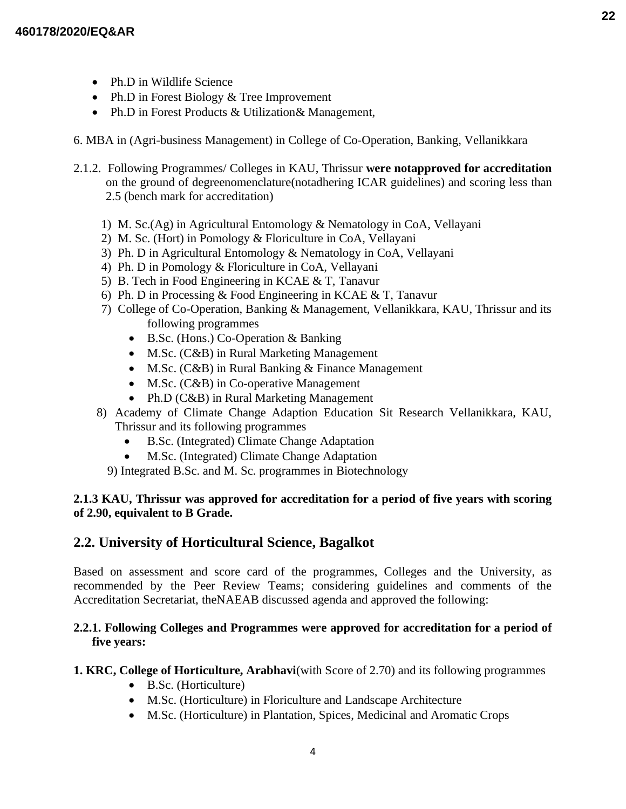- Ph.D in Wildlife Science
- Ph.D in Forest Biology & Tree Improvement
- Ph.D in Forest Products & Utilization & Management,
- 6. MBA in (Agri-business Management) in College of Co-Operation, Banking, Vellanikkara
- 2.1.2. Following Programmes/ Colleges in KAU, Thrissur **were notapproved for accreditation** on the ground of degreenomenclature(notadhering ICAR guidelines) and scoring less than 2.5 (bench mark for accreditation)
	- 1) M. Sc.(Ag) in Agricultural Entomology & Nematology in CoA, Vellayani
	- 2) M. Sc. (Hort) in Pomology & Floriculture in CoA, Vellayani
	- 3) Ph. D in Agricultural Entomology & Nematology in CoA, Vellayani
	- 4) Ph. D in Pomology & Floriculture in CoA, Vellayani
	- 5) B. Tech in Food Engineering in KCAE & T, Tanavur
	- 6) Ph. D in Processing & Food Engineering in KCAE & T, Tanavur
	- 7) College of Co-Operation, Banking & Management, Vellanikkara, KAU, Thrissur and its following programmes
		- B.Sc. (Hons.) Co-Operation & Banking
		- M.Sc. (C&B) in Rural Marketing Management
		- M.Sc. (C&B) in Rural Banking & Finance Management
		- M.Sc. (C&B) in Co-operative Management
		- Ph.D (C&B) in Rural Marketing Management
	- 8) Academy of Climate Change Adaption Education Sit Research Vellanikkara, KAU, Thrissur and its following programmes
		- B.Sc. (Integrated) Climate Change Adaptation
		- M.Sc. (Integrated) Climate Change Adaptation
		- 9) Integrated B.Sc. and M. Sc. programmes in Biotechnology

## **2.1.3 KAU, Thrissur was approved for accreditation for a period of five years with scoring of 2.90, equivalent to B Grade.**

## **2.2. University of Horticultural Science, Bagalkot**

Based on assessment and score card of the programmes, Colleges and the University, as recommended by the Peer Review Teams; considering guidelines and comments of the Accreditation Secretariat, theNAEAB discussed agenda and approved the following:

## **2.2.1. Following Colleges and Programmes were approved for accreditation for a period of five years:**

### **1. KRC, College of Horticulture, Arabhavi**(with Score of 2.70) and its following programmes

- B.Sc. (Horticulture)
- M.Sc. (Horticulture) in Floriculture and Landscape Architecture
- M.Sc. (Horticulture) in Plantation, Spices, Medicinal and Aromatic Crops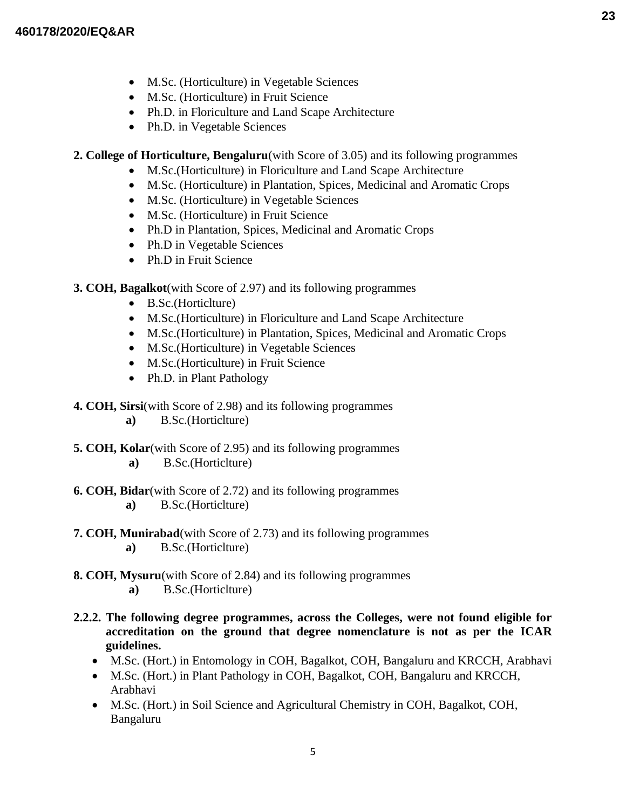- M.Sc. (Horticulture) in Vegetable Sciences
- M.Sc. (Horticulture) in Fruit Science
- Ph.D. in Floriculture and Land Scape Architecture
- Ph.D. in Vegetable Sciences
- **2. College of Horticulture, Bengaluru**(with Score of 3.05) and its following programmes
	- M.Sc.(Horticulture) in Floriculture and Land Scape Architecture
	- M.Sc. (Horticulture) in Plantation, Spices, Medicinal and Aromatic Crops
	- M.Sc. (Horticulture) in Vegetable Sciences
	- M.Sc. (Horticulture) in Fruit Science
	- Ph.D in Plantation, Spices, Medicinal and Aromatic Crops
	- Ph.D in Vegetable Sciences
	- Ph.D in Fruit Science
- **3. COH, Bagalkot**(with Score of 2.97) and its following programmes
	- B.Sc.(Horticlture)
	- M.Sc.(Horticulture) in Floriculture and Land Scape Architecture
	- M.Sc.(Horticulture) in Plantation, Spices, Medicinal and Aromatic Crops
	- M.Sc.(Horticulture) in Vegetable Sciences
	- M.Sc.(Horticulture) in Fruit Science
	- Ph.D. in Plant Pathology
- **4. COH, Sirsi**(with Score of 2.98) and its following programmes
	- **a)** B.Sc.(Horticlture)
- **5. COH, Kolar**(with Score of 2.95) and its following programmes  **a)** B.Sc.(Horticlture)
- **6. COH, Bidar**(with Score of 2.72) and its following programmes  **a)** B.Sc.(Horticlture)
- **7. COH, Munirabad**(with Score of 2.73) and its following programmes  **a)** B.Sc.(Horticlture)
- **8. COH, Mysuru**(with Score of 2.84) and its following programmes  **a)** B.Sc.(Horticlture)
- **2.2.2. The following degree programmes, across the Colleges, were not found eligible for accreditation on the ground that degree nomenclature is not as per the ICAR guidelines.**
	- M.Sc. (Hort.) in Entomology in COH, Bagalkot, COH, Bangaluru and KRCCH, Arabhavi
	- M.Sc. (Hort.) in Plant Pathology in COH, Bagalkot, COH, Bangaluru and KRCCH, Arabhavi
	- M.Sc. (Hort.) in Soil Science and Agricultural Chemistry in COH, Bagalkot, COH, Bangaluru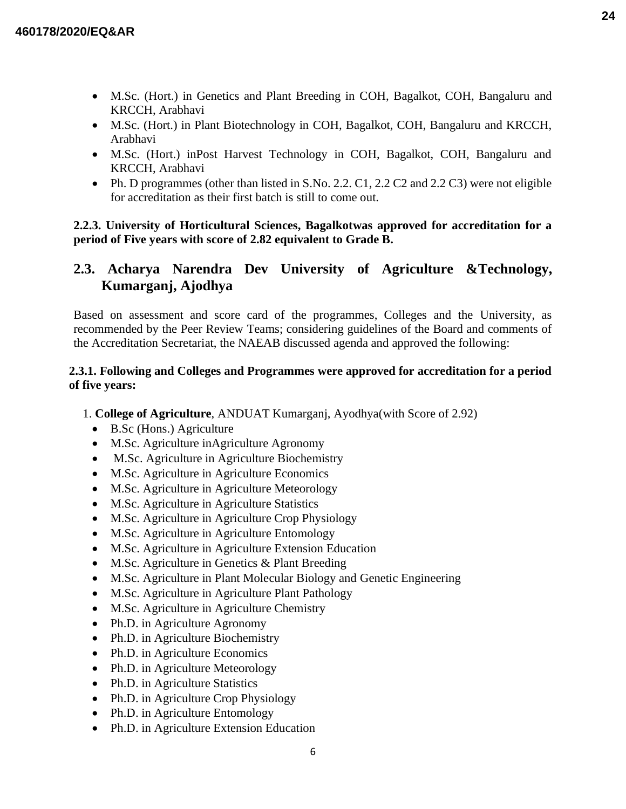- M.Sc. (Hort.) in Genetics and Plant Breeding in COH, Bagalkot, COH, Bangaluru and KRCCH, Arabhavi
- M.Sc. (Hort.) in Plant Biotechnology in COH, Bagalkot, COH, Bangaluru and KRCCH, Arabhavi
- M.Sc. (Hort.) inPost Harvest Technology in COH, Bagalkot, COH, Bangaluru and KRCCH, Arabhavi
- Ph. D programmes (other than listed in S.No. 2.2. C1, 2.2 C2 and 2.2 C3) were not eligible for accreditation as their first batch is still to come out.

## **2.2.3. University of Horticultural Sciences, Bagalkotwas approved for accreditation for a period of Five years with score of 2.82 equivalent to Grade B.**

# **2.3. Acharya Narendra Dev University of Agriculture &Technology, Kumarganj, Ajodhya**

Based on assessment and score card of the programmes, Colleges and the University, as recommended by the Peer Review Teams; considering guidelines of the Board and comments of the Accreditation Secretariat, the NAEAB discussed agenda and approved the following:

## **2.3.1. Following and Colleges and Programmes were approved for accreditation for a period of five years:**

- 1. **College of Agriculture**, ANDUAT Kumarganj, Ayodhya(with Score of 2.92)
	- B.Sc (Hons.) Agriculture
	- M.Sc. Agriculture inAgriculture Agronomy
	- M.Sc. Agriculture in Agriculture Biochemistry
	- M.Sc. Agriculture in Agriculture Economics
	- M.Sc. Agriculture in Agriculture Meteorology
	- M.Sc. Agriculture in Agriculture Statistics
	- M.Sc. Agriculture in Agriculture Crop Physiology
	- M.Sc. Agriculture in Agriculture Entomology
	- M.Sc. Agriculture in Agriculture Extension Education
	- M.Sc. Agriculture in Genetics & Plant Breeding
	- M.Sc. Agriculture in Plant Molecular Biology and Genetic Engineering
	- M.Sc. Agriculture in Agriculture Plant Pathology
	- M.Sc. Agriculture in Agriculture Chemistry
	- Ph.D. in Agriculture Agronomy
	- Ph.D. in Agriculture Biochemistry
	- Ph.D. in Agriculture Economics
	- Ph.D. in Agriculture Meteorology
	- Ph.D. in Agriculture Statistics
	- Ph.D. in Agriculture Crop Physiology
	- Ph.D. in Agriculture Entomology
	- Ph.D. in Agriculture Extension Education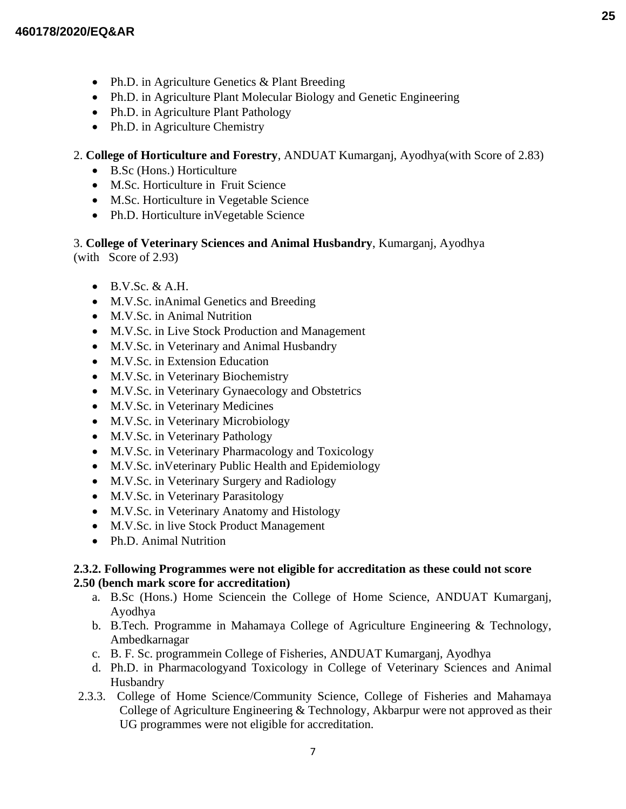- Ph.D. in Agriculture Genetics & Plant Breeding
- Ph.D. in Agriculture Plant Molecular Biology and Genetic Engineering
- Ph.D. in Agriculture Plant Pathology
- Ph.D. in Agriculture Chemistry

## 2. **College of Horticulture and Forestry**, ANDUAT Kumarganj, Ayodhya(with Score of 2.83)

- B.Sc (Hons.) Horticulture
- M.Sc. Horticulture in Fruit Science
- M.Sc. Horticulture in Vegetable Science
- Ph.D. Horticulture in Vegetable Science

#### 3. **College of Veterinary Sciences and Animal Husbandry**, Kumarganj, Ayodhya (with Score of 2.93)

- $\bullet$  B.V.Sc. & A.H.
- M.V.Sc. inAnimal Genetics and Breeding
- M.V.Sc. in Animal Nutrition
- M.V.Sc. in Live Stock Production and Management
- M.V.Sc. in Veterinary and Animal Husbandry
- M.V.Sc. in Extension Education
- M.V.Sc. in Veterinary Biochemistry
- M.V.Sc. in Veterinary Gynaecology and Obstetrics
- M.V.Sc. in Veterinary Medicines
- M.V.Sc. in Veterinary Microbiology
- M.V.Sc. in Veterinary Pathology
- M.V.Sc. in Veterinary Pharmacology and Toxicology
- M.V.Sc. inVeterinary Public Health and Epidemiology
- M.V.Sc. in Veterinary Surgery and Radiology
- M.V.Sc. in Veterinary Parasitology
- M.V.Sc. in Veterinary Anatomy and Histology
- M.V.Sc. in live Stock Product Management
- Ph.D. Animal Nutrition

## **2.3.2. Following Programmes were not eligible for accreditation as these could not score 2.50 (bench mark score for accreditation)**

- a. B.Sc (Hons.) Home Sciencein the College of Home Science, ANDUAT Kumarganj, Ayodhya
- b. B.Tech. Programme in Mahamaya College of Agriculture Engineering & Technology, Ambedkarnagar
- c. B. F. Sc. programmein College of Fisheries, ANDUAT Kumarganj, Ayodhya
- d. Ph.D. in Pharmacologyand Toxicology in College of Veterinary Sciences and Animal Husbandry
- 2.3.3. College of Home Science/Community Science, College of Fisheries and Mahamaya College of Agriculture Engineering & Technology, Akbarpur were not approved as their UG programmes were not eligible for accreditation.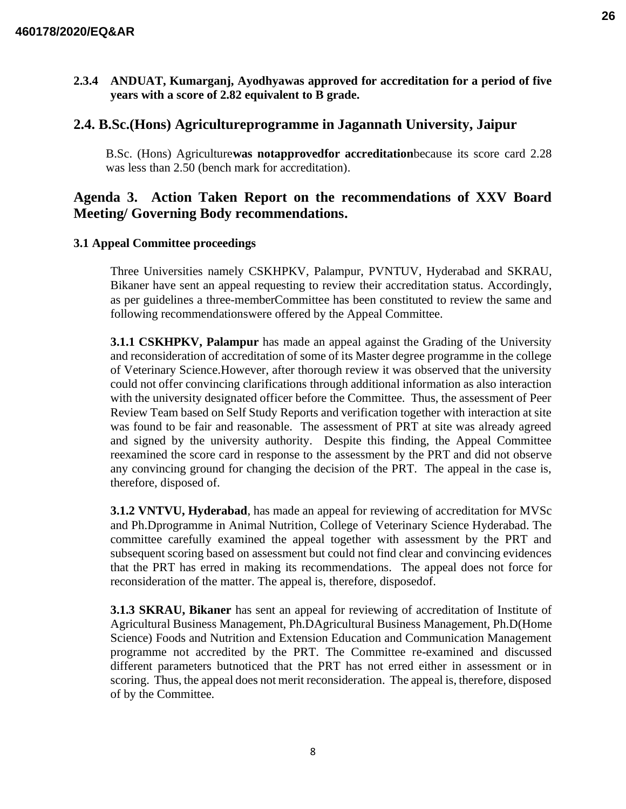**2.3.4 ANDUAT, Kumarganj, Ayodhyawas approved for accreditation for a period of five years with a score of 2.82 equivalent to B grade.**

## **2.4. B.Sc.(Hons) Agricultureprogramme in Jagannath University, Jaipur**

B.Sc. (Hons) Agriculture**was notapprovedfor accreditation**because its score card 2.28 was less than 2.50 (bench mark for accreditation).

# **Agenda 3. Action Taken Report on the recommendations of XXV Board Meeting/ Governing Body recommendations.**

### **3.1 Appeal Committee proceedings**

Three Universities namely CSKHPKV, Palampur, PVNTUV, Hyderabad and SKRAU, Bikaner have sent an appeal requesting to review their accreditation status. Accordingly, as per guidelines a three-memberCommittee has been constituted to review the same and following recommendationswere offered by the Appeal Committee.

**3.1.1 CSKHPKV, Palampur** has made an appeal against the Grading of the University and reconsideration of accreditation of some of its Master degree programme in the college of Veterinary Science.However, after thorough review it was observed that the university could not offer convincing clarifications through additional information as also interaction with the university designated officer before the Committee. Thus, the assessment of Peer Review Team based on Self Study Reports and verification together with interaction at site was found to be fair and reasonable. The assessment of PRT at site was already agreed and signed by the university authority. Despite this finding, the Appeal Committee reexamined the score card in response to the assessment by the PRT and did not observe any convincing ground for changing the decision of the PRT. The appeal in the case is, therefore, disposed of.

**3.1.2 VNTVU, Hyderabad**, has made an appeal for reviewing of accreditation for MVSc and Ph.Dprogramme in Animal Nutrition, College of Veterinary Science Hyderabad. The committee carefully examined the appeal together with assessment by the PRT and subsequent scoring based on assessment but could not find clear and convincing evidences that the PRT has erred in making its recommendations. The appeal does not force for reconsideration of the matter. The appeal is, therefore, disposedof.

**3.1.3 SKRAU, Bikaner** has sent an appeal for reviewing of accreditation of Institute of Agricultural Business Management, Ph.DAgricultural Business Management, Ph.D(Home Science) Foods and Nutrition and Extension Education and Communication Management programme not accredited by the PRT. The Committee re-examined and discussed different parameters butnoticed that the PRT has not erred either in assessment or in scoring. Thus, the appeal does not merit reconsideration. The appeal is, therefore, disposed of by the Committee.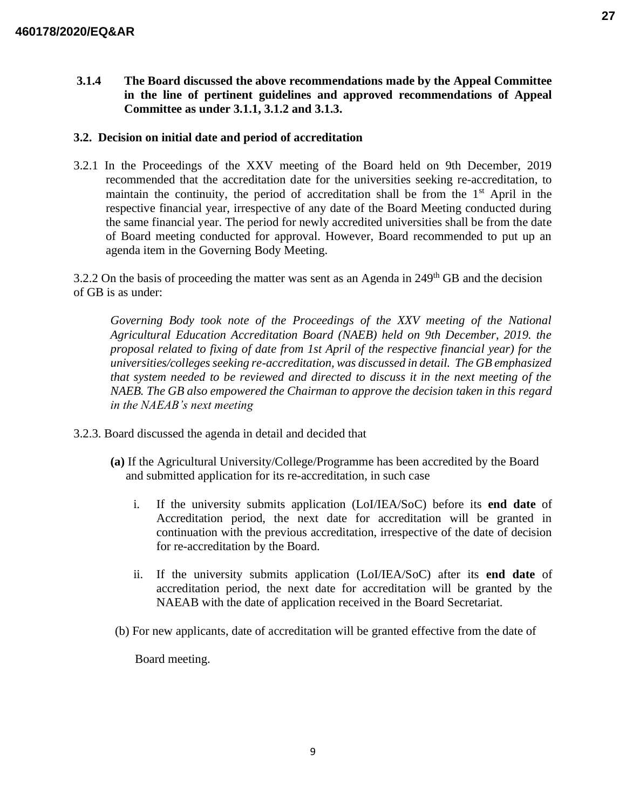**3.1.4 The Board discussed the above recommendations made by the Appeal Committee in the line of pertinent guidelines and approved recommendations of Appeal Committee as under 3.1.1, 3.1.2 and 3.1.3.** 

## **3.2. Decision on initial date and period of accreditation**

3.2.1 In the Proceedings of the XXV meeting of the Board held on 9th December, 2019 recommended that the accreditation date for the universities seeking re-accreditation, to maintain the continuity, the period of accreditation shall be from the  $1<sup>st</sup>$  April in the respective financial year, irrespective of any date of the Board Meeting conducted during the same financial year. The period for newly accredited universities shall be from the date of Board meeting conducted for approval. However, Board recommended to put up an agenda item in the Governing Body Meeting.

3.2.2 On the basis of proceeding the matter was sent as an Agenda in  $249<sup>th</sup>$  GB and the decision of GB is as under:

*Governing Body took note of the Proceedings of the XXV meeting of the National Agricultural Education Accreditation Board (NAEB) held on 9th December, 2019. the proposal related to fixing of date from 1st April of the respective financial year) for the universities/colleges seeking re-accreditation, was discussed in detail. The GB emphasized that system needed to be reviewed and directed to discuss it in the next meeting of the NAEB. The GB also empowered the Chairman to approve the decision taken in this regard in the NAEAB's next meeting*

- 3.2.3. Board discussed the agenda in detail and decided that
	- **(a)** If the Agricultural University/College/Programme has been accredited by the Board and submitted application for its re-accreditation, in such case
		- i. If the university submits application (LoI/IEA/SoC) before its **end date** of Accreditation period, the next date for accreditation will be granted in continuation with the previous accreditation, irrespective of the date of decision for re-accreditation by the Board.
		- ii. If the university submits application (LoI/IEA/SoC) after its **end date** of accreditation period, the next date for accreditation will be granted by the NAEAB with the date of application received in the Board Secretariat.
	- (b) For new applicants, date of accreditation will be granted effective from the date of

Board meeting.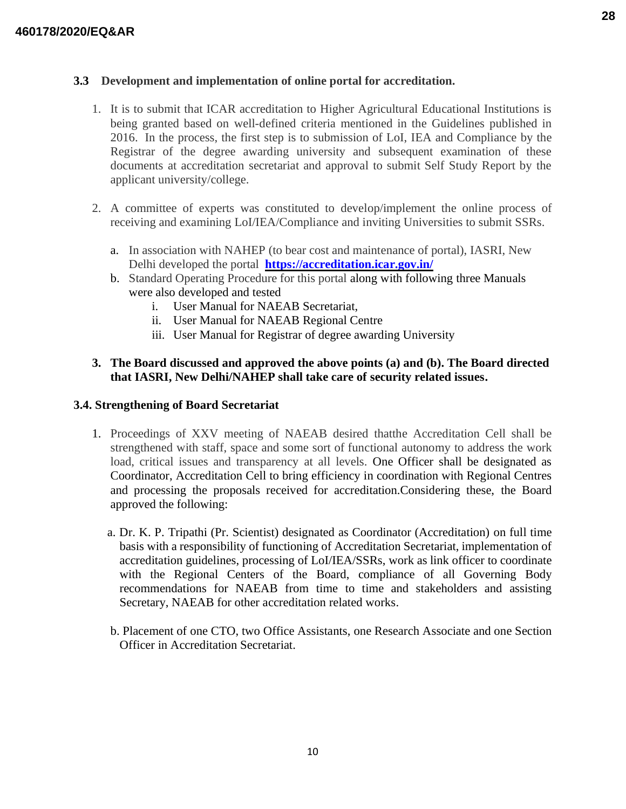## **3.3 Development and implementation of online portal for accreditation.**

- 1. It is to submit that ICAR accreditation to Higher Agricultural Educational Institutions is being granted based on well-defined criteria mentioned in the Guidelines published in 2016. In the process, the first step is to submission of LoI, IEA and Compliance by the Registrar of the degree awarding university and subsequent examination of these documents at accreditation secretariat and approval to submit Self Study Report by the applicant university/college.
- 2. A committee of experts was constituted to develop/implement the online process of receiving and examining LoI/IEA/Compliance and inviting Universities to submit SSRs.
	- a. In association with NAHEP (to bear cost and maintenance of portal), IASRI, New Delhi developed the portal **https://accreditation.icar.gov.in/**
	- b. Standard Operating Procedure for this portal along with following three Manuals were also developed and tested
		- i. User Manual for NAEAB Secretariat,
		- ii. User Manual for NAEAB Regional Centre
		- iii. User Manual for Registrar of degree awarding University

## **3. The Board discussed and approved the above points (a) and (b). The Board directed that IASRI, New Delhi/NAHEP shall take care of security related issues.**

### **3.4. Strengthening of Board Secretariat**

- 1. Proceedings of XXV meeting of NAEAB desired thatthe Accreditation Cell shall be strengthened with staff, space and some sort of functional autonomy to address the work load, critical issues and transparency at all levels. One Officer shall be designated as Coordinator, Accreditation Cell to bring efficiency in coordination with Regional Centres and processing the proposals received for accreditation.Considering these, the Board approved the following:
	- a. Dr. K. P. Tripathi (Pr. Scientist) designated as Coordinator (Accreditation) on full time basis with a responsibility of functioning of Accreditation Secretariat, implementation of accreditation guidelines, processing of LoI/IEA/SSRs, work as link officer to coordinate with the Regional Centers of the Board, compliance of all Governing Body recommendations for NAEAB from time to time and stakeholders and assisting Secretary, NAEAB for other accreditation related works.
	- b. Placement of one CTO, two Office Assistants, one Research Associate and one Section Officer in Accreditation Secretariat.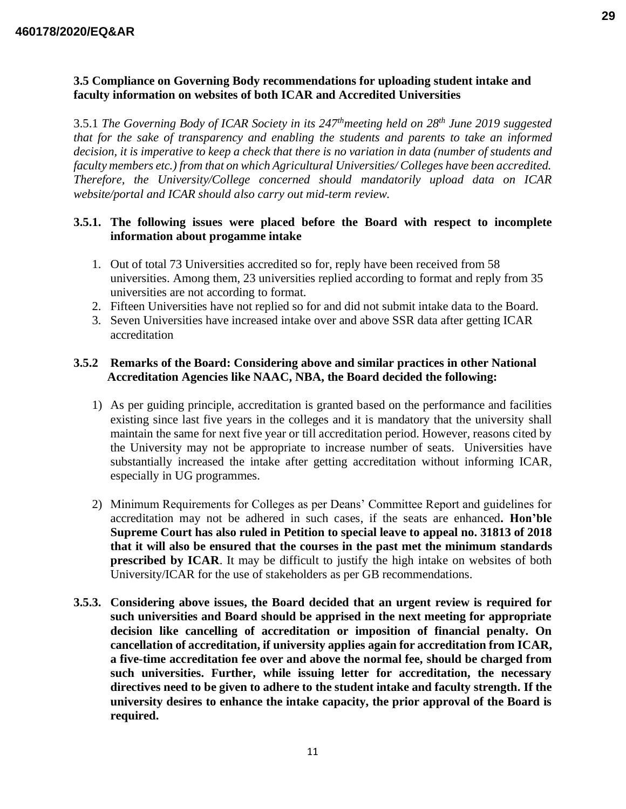## **3.5 Compliance on Governing Body recommendations for uploading student intake and faculty information on websites of both ICAR and Accredited Universities**

3.5.1 *The Governing Body of ICAR Society in its 247thmeeting held on 28th June 2019 suggested that for the sake of transparency and enabling the students and parents to take an informed decision, it is imperative to keep a check that there is no variation in data (number of students and faculty members etc.) from that on which Agricultural Universities/ Colleges have been accredited. Therefore, the University/College concerned should mandatorily upload data on ICAR website/portal and ICAR should also carry out mid-term review.* 

## **3.5.1. The following issues were placed before the Board with respect to incomplete information about progamme intake**

- 1. Out of total 73 Universities accredited so for, reply have been received from 58 universities. Among them, 23 universities replied according to format and reply from 35 universities are not according to format.
- 2. Fifteen Universities have not replied so for and did not submit intake data to the Board.
- 3. Seven Universities have increased intake over and above SSR data after getting ICAR accreditation

### **3.5.2 Remarks of the Board: Considering above and similar practices in other National Accreditation Agencies like NAAC, NBA, the Board decided the following:**

- 1) As per guiding principle, accreditation is granted based on the performance and facilities existing since last five years in the colleges and it is mandatory that the university shall maintain the same for next five year or till accreditation period. However, reasons cited by the University may not be appropriate to increase number of seats. Universities have substantially increased the intake after getting accreditation without informing ICAR, especially in UG programmes.
- 2) Minimum Requirements for Colleges as per Deans' Committee Report and guidelines for accreditation may not be adhered in such cases, if the seats are enhanced**. Hon'ble Supreme Court has also ruled in Petition to special leave to appeal no. 31813 of 2018 that it will also be ensured that the courses in the past met the minimum standards prescribed by ICAR**. It may be difficult to justify the high intake on websites of both University/ICAR for the use of stakeholders as per GB recommendations.
- **3.5.3. Considering above issues, the Board decided that an urgent review is required for such universities and Board should be apprised in the next meeting for appropriate decision like cancelling of accreditation or imposition of financial penalty. On cancellation of accreditation, if university applies again for accreditation from ICAR, a five-time accreditation fee over and above the normal fee, should be charged from such universities. Further, while issuing letter for accreditation, the necessary directives need to be given to adhere to the student intake and faculty strength. If the university desires to enhance the intake capacity, the prior approval of the Board is required.**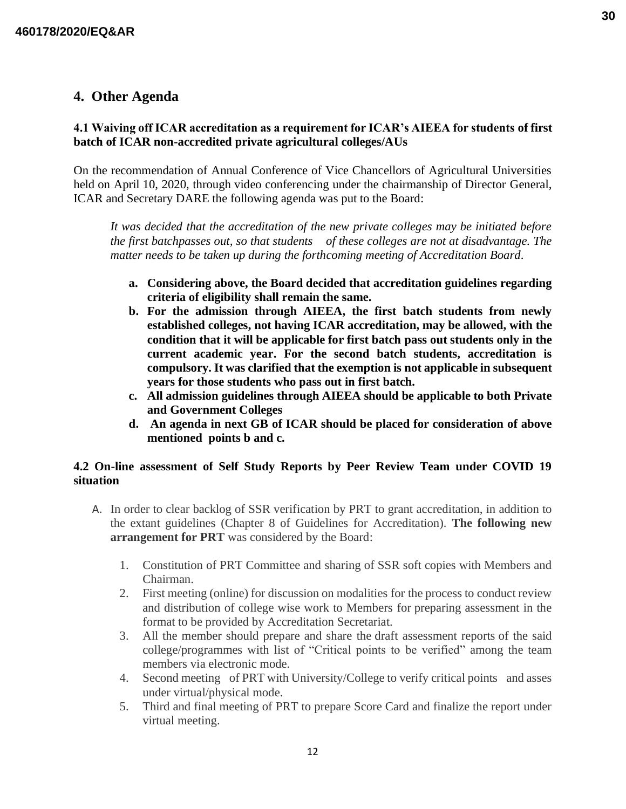## **4. Other Agenda**

## **4.1 Waiving off ICAR accreditation as a requirement for ICAR's AIEEA for students of first batch of ICAR non-accredited private agricultural colleges/AUs**

On the recommendation of Annual Conference of Vice Chancellors of Agricultural Universities held on April 10, 2020, through video conferencing under the chairmanship of Director General, ICAR and Secretary DARE the following agenda was put to the Board:

*It was decided that the accreditation of the new private colleges may be initiated before the first batchpasses out, so that students of these colleges are not at disadvantage. The matter needs to be taken up during the forthcoming meeting of Accreditation Board*.

- **a. Considering above, the Board decided that accreditation guidelines regarding criteria of eligibility shall remain the same.**
- **b. For the admission through AIEEA, the first batch students from newly established colleges, not having ICAR accreditation, may be allowed, with the condition that it will be applicable for first batch pass out students only in the current academic year. For the second batch students, accreditation is compulsory. It was clarified that the exemption is not applicable in subsequent years for those students who pass out in first batch.**
- **c. All admission guidelines through AIEEA should be applicable to both Private and Government Colleges**
- **d. An agenda in next GB of ICAR should be placed for consideration of above mentioned points b and c.**

## **4.2 On-line assessment of Self Study Reports by Peer Review Team under COVID 19 situation**

- A. In order to clear backlog of SSR verification by PRT to grant accreditation, in addition to the extant guidelines (Chapter 8 of Guidelines for Accreditation). **The following new arrangement for PRT** was considered by the Board:
	- 1. Constitution of PRT Committee and sharing of SSR soft copies with Members and Chairman.
	- 2. First meeting (online) for discussion on modalities for the process to conduct review and distribution of college wise work to Members for preparing assessment in the format to be provided by Accreditation Secretariat.
	- 3. All the member should prepare and share the draft assessment reports of the said college/programmes with list of "Critical points to be verified" among the team members via electronic mode.
	- 4. Second meeting of PRT with University/College to verify critical points and asses under virtual/physical mode.
	- 5. Third and final meeting of PRT to prepare Score Card and finalize the report under virtual meeting.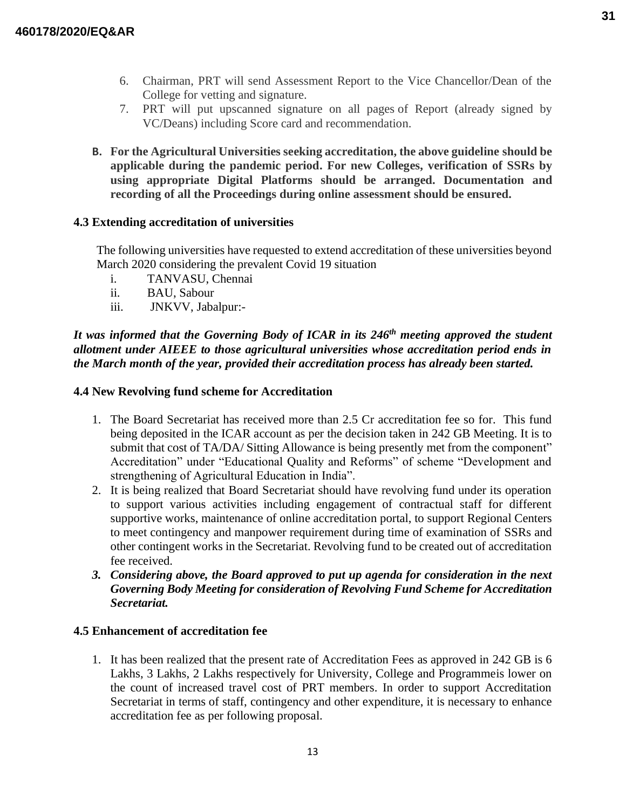- 6. Chairman, PRT will send Assessment Report to the Vice Chancellor/Dean of the College for vetting and signature.
- 7. PRT will put upscanned signature on all pages of Report (already signed by VC/Deans) including Score card and recommendation.
- **B. For the Agricultural Universities seeking accreditation, the above guideline should be applicable during the pandemic period. For new Colleges, verification of SSRs by using appropriate Digital Platforms should be arranged. Documentation and recording of all the Proceedings during online assessment should be ensured.**

### **4.3 Extending accreditation of universities**

The following universities have requested to extend accreditation of these universities beyond March 2020 considering the prevalent Covid 19 situation

- i. TANVASU, Chennai
- ii. BAU, Sabour
- iii. JNKVV, Jabalpur:-

*It was informed that the Governing Body of ICAR in its 246th meeting approved the student allotment under AIEEE to those agricultural universities whose accreditation period ends in the March month of the year, provided their accreditation process has already been started.*

#### **4.4 New Revolving fund scheme for Accreditation**

- 1. The Board Secretariat has received more than 2.5 Cr accreditation fee so for. This fund being deposited in the ICAR account as per the decision taken in 242 GB Meeting. It is to submit that cost of TA/DA/ Sitting Allowance is being presently met from the component" Accreditation" under "Educational Quality and Reforms" of scheme "Development and strengthening of Agricultural Education in India".
- 2. It is being realized that Board Secretariat should have revolving fund under its operation to support various activities including engagement of contractual staff for different supportive works, maintenance of online accreditation portal, to support Regional Centers to meet contingency and manpower requirement during time of examination of SSRs and other contingent works in the Secretariat. Revolving fund to be created out of accreditation fee received.
- *3. Considering above, the Board approved to put up agenda for consideration in the next Governing Body Meeting for consideration of Revolving Fund Scheme for Accreditation Secretariat.*

#### **4.5 Enhancement of accreditation fee**

1. It has been realized that the present rate of Accreditation Fees as approved in 242 GB is 6 Lakhs, 3 Lakhs, 2 Lakhs respectively for University, College and Programmeis lower on the count of increased travel cost of PRT members. In order to support Accreditation Secretariat in terms of staff, contingency and other expenditure, it is necessary to enhance accreditation fee as per following proposal.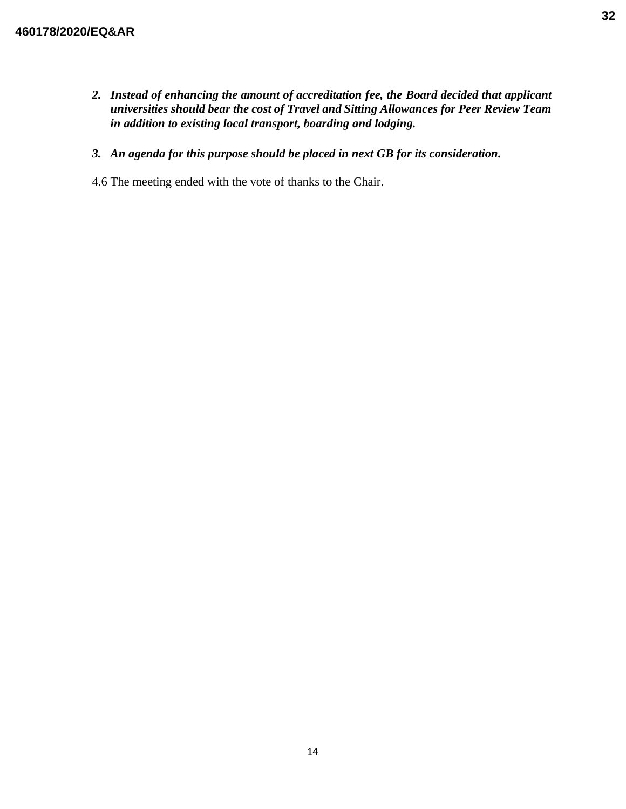*2. Instead of enhancing the amount of accreditation fee, the Board decided that applicant universities should bear the cost of Travel and Sitting Allowances for Peer Review Team in addition to existing local transport, boarding and lodging.*

## *3. An agenda for this purpose should be placed in next GB for its consideration.*

4.6 The meeting ended with the vote of thanks to the Chair.